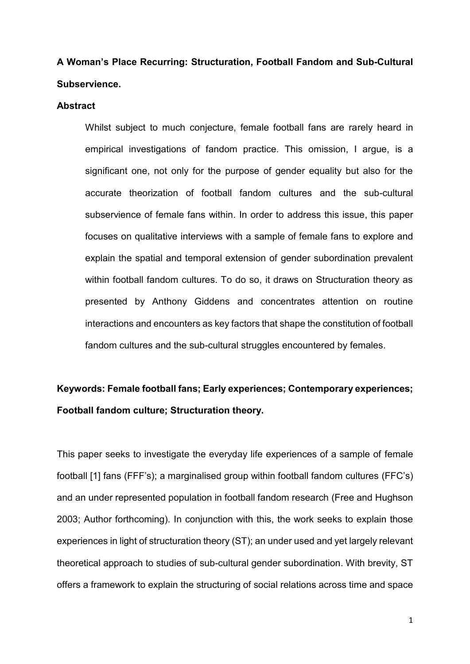# **A Woman's Place Recurring: Structuration, Football Fandom and Sub-Cultural Subservience.**

#### **Abstract**

Whilst subject to much conjecture, female football fans are rarely heard in empirical investigations of fandom practice. This omission, I argue, is a significant one, not only for the purpose of gender equality but also for the accurate theorization of football fandom cultures and the sub-cultural subservience of female fans within. In order to address this issue, this paper focuses on qualitative interviews with a sample of female fans to explore and explain the spatial and temporal extension of gender subordination prevalent within football fandom cultures. To do so, it draws on Structuration theory as presented by Anthony Giddens and concentrates attention on routine interactions and encounters as key factors that shape the constitution of football fandom cultures and the sub-cultural struggles encountered by females.

# **Keywords: Female football fans; Early experiences; Contemporary experiences; Football fandom culture; Structuration theory.**

This paper seeks to investigate the everyday life experiences of a sample of female football [1] fans (FFF's); a marginalised group within football fandom cultures (FFC's) and an under represented population in football fandom research (Free and Hughson 2003; Author forthcoming). In conjunction with this, the work seeks to explain those experiences in light of structuration theory (ST); an under used and yet largely relevant theoretical approach to studies of sub-cultural gender subordination. With brevity, ST offers a framework to explain the structuring of social relations across time and space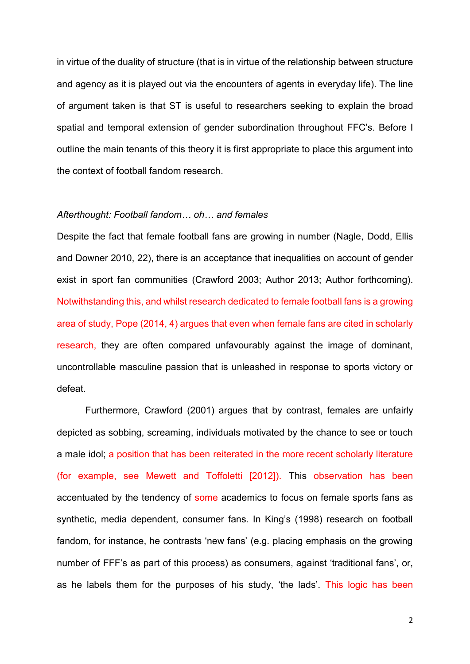in virtue of the duality of structure (that is in virtue of the relationship between structure and agency as it is played out via the encounters of agents in everyday life). The line of argument taken is that ST is useful to researchers seeking to explain the broad spatial and temporal extension of gender subordination throughout FFC's. Before I outline the main tenants of this theory it is first appropriate to place this argument into the context of football fandom research.

### *Afterthought: Football fandom… oh… and females*

Despite the fact that female football fans are growing in number (Nagle, Dodd, Ellis and Downer 2010, 22), there is an acceptance that inequalities on account of gender exist in sport fan communities (Crawford 2003; Author 2013; Author forthcoming). Notwithstanding this, and whilst research dedicated to female football fans is a growing area of study, Pope (2014, 4) argues that even when female fans are cited in scholarly research, they are often compared unfavourably against the image of dominant, uncontrollable masculine passion that is unleashed in response to sports victory or defeat.

Furthermore, Crawford (2001) argues that by contrast, females are unfairly depicted as sobbing, screaming, individuals motivated by the chance to see or touch a male idol; a position that has been reiterated in the more recent scholarly literature (for example, see Mewett and Toffoletti [2012]). This observation has been accentuated by the tendency of some academics to focus on female sports fans as synthetic, media dependent, consumer fans. In King's (1998) research on football fandom, for instance, he contrasts 'new fans' (e.g. placing emphasis on the growing number of FFF's as part of this process) as consumers, against 'traditional fans', or, as he labels them for the purposes of his study, 'the lads'. This logic has been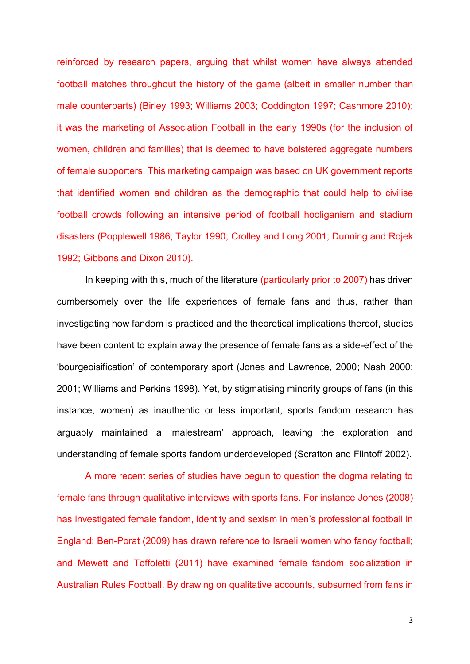reinforced by research papers, arguing that whilst women have always attended football matches throughout the history of the game (albeit in smaller number than male counterparts) (Birley 1993; Williams 2003; Coddington 1997; Cashmore 2010); it was the marketing of Association Football in the early 1990s (for the inclusion of women, children and families) that is deemed to have bolstered aggregate numbers of female supporters. This marketing campaign was based on UK government reports that identified women and children as the demographic that could help to civilise football crowds following an intensive period of football hooliganism and stadium disasters (Popplewell 1986; Taylor 1990; Crolley and Long 2001; Dunning and Rojek 1992; Gibbons and Dixon 2010).

In keeping with this, much of the literature (particularly prior to 2007) has driven cumbersomely over the life experiences of female fans and thus, rather than investigating how fandom is practiced and the theoretical implications thereof, studies have been content to explain away the presence of female fans as a side-effect of the 'bourgeoisification' of contemporary sport (Jones and Lawrence, 2000; Nash 2000; 2001; Williams and Perkins 1998). Yet, by stigmatising minority groups of fans (in this instance, women) as inauthentic or less important, sports fandom research has arguably maintained a 'malestream' approach, leaving the exploration and understanding of female sports fandom underdeveloped (Scratton and Flintoff 2002).

A more recent series of studies have begun to question the dogma relating to female fans through qualitative interviews with sports fans. For instance Jones (2008) has investigated female fandom, identity and sexism in men's professional football in England; Ben-Porat (2009) has drawn reference to Israeli women who fancy football; and Mewett and Toffoletti (2011) have examined female fandom socialization in Australian Rules Football. By drawing on qualitative accounts, subsumed from fans in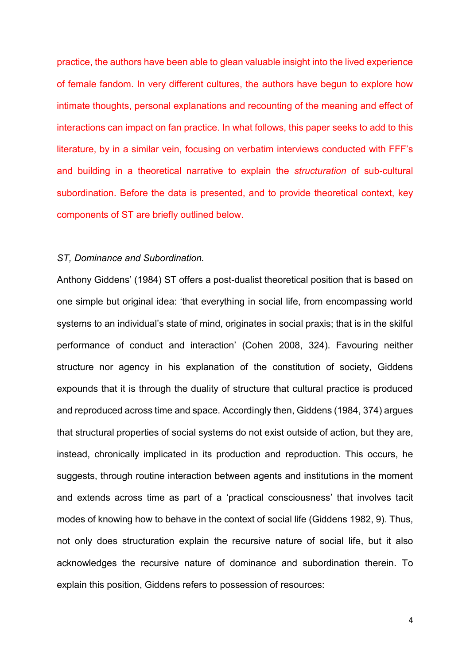practice, the authors have been able to glean valuable insight into the lived experience of female fandom. In very different cultures, the authors have begun to explore how intimate thoughts, personal explanations and recounting of the meaning and effect of interactions can impact on fan practice. In what follows, this paper seeks to add to this literature, by in a similar vein, focusing on verbatim interviews conducted with FFF's and building in a theoretical narrative to explain the *structuration* of sub-cultural subordination. Before the data is presented, and to provide theoretical context, key components of ST are briefly outlined below.

### *ST, Dominance and Subordination.*

Anthony Giddens' (1984) ST offers a post-dualist theoretical position that is based on one simple but original idea: 'that everything in social life, from encompassing world systems to an individual's state of mind, originates in social praxis; that is in the skilful performance of conduct and interaction' (Cohen 2008, 324). Favouring neither structure nor agency in his explanation of the constitution of society, Giddens expounds that it is through the duality of structure that cultural practice is produced and reproduced across time and space. Accordingly then, Giddens (1984, 374) argues that structural properties of social systems do not exist outside of action, but they are, instead, chronically implicated in its production and reproduction. This occurs, he suggests, through routine interaction between agents and institutions in the moment and extends across time as part of a 'practical consciousness' that involves tacit modes of knowing how to behave in the context of social life (Giddens 1982, 9). Thus, not only does structuration explain the recursive nature of social life, but it also acknowledges the recursive nature of dominance and subordination therein. To explain this position, Giddens refers to possession of resources: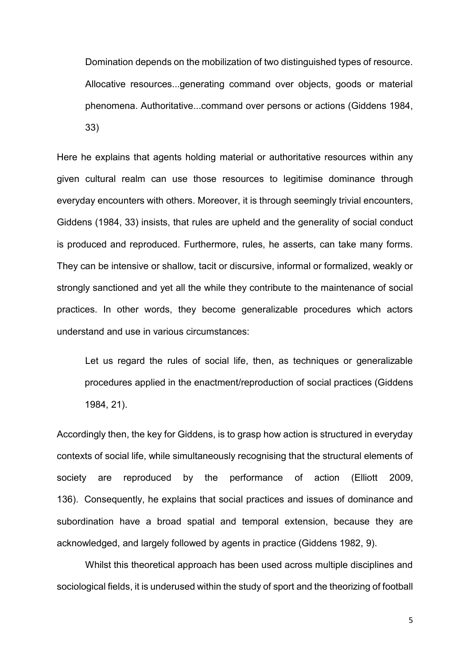Domination depends on the mobilization of two distinguished types of resource. Allocative resources...generating command over objects, goods or material phenomena. Authoritative...command over persons or actions (Giddens 1984, 33)

Here he explains that agents holding material or authoritative resources within any given cultural realm can use those resources to legitimise dominance through everyday encounters with others. Moreover, it is through seemingly trivial encounters, Giddens (1984, 33) insists, that rules are upheld and the generality of social conduct is produced and reproduced. Furthermore, rules, he asserts, can take many forms. They can be intensive or shallow, tacit or discursive, informal or formalized, weakly or strongly sanctioned and yet all the while they contribute to the maintenance of social practices. In other words, they become generalizable procedures which actors understand and use in various circumstances:

Let us regard the rules of social life, then, as techniques or generalizable procedures applied in the enactment/reproduction of social practices (Giddens 1984, 21).

Accordingly then, the key for Giddens, is to grasp how action is structured in everyday contexts of social life, while simultaneously recognising that the structural elements of society are reproduced by the performance of action (Elliott 2009, 136). Consequently, he explains that social practices and issues of dominance and subordination have a broad spatial and temporal extension, because they are acknowledged, and largely followed by agents in practice (Giddens 1982, 9).

Whilst this theoretical approach has been used across multiple disciplines and sociological fields, it is underused within the study of sport and the theorizing of football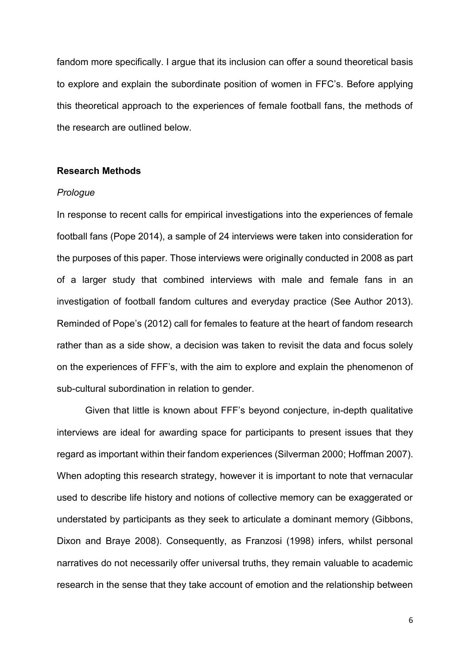fandom more specifically. I argue that its inclusion can offer a sound theoretical basis to explore and explain the subordinate position of women in FFC's. Before applying this theoretical approach to the experiences of female football fans, the methods of the research are outlined below.

#### **Research Methods**

#### *Prologue*

In response to recent calls for empirical investigations into the experiences of female football fans (Pope 2014), a sample of 24 interviews were taken into consideration for the purposes of this paper. Those interviews were originally conducted in 2008 as part of a larger study that combined interviews with male and female fans in an investigation of football fandom cultures and everyday practice (See Author 2013). Reminded of Pope's (2012) call for females to feature at the heart of fandom research rather than as a side show, a decision was taken to revisit the data and focus solely on the experiences of FFF's, with the aim to explore and explain the phenomenon of sub-cultural subordination in relation to gender.

Given that little is known about FFF's beyond conjecture, in-depth qualitative interviews are ideal for awarding space for participants to present issues that they regard as important within their fandom experiences (Silverman 2000; Hoffman 2007). When adopting this research strategy, however it is important to note that vernacular used to describe life history and notions of collective memory can be exaggerated or understated by participants as they seek to articulate a dominant memory (Gibbons, Dixon and Braye 2008). Consequently, as Franzosi (1998) infers, whilst personal narratives do not necessarily offer universal truths, they remain valuable to academic research in the sense that they take account of emotion and the relationship between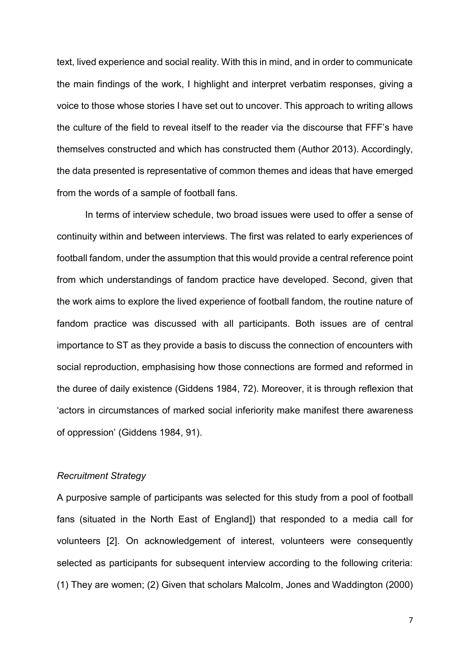text, lived experience and social reality. With this in mind, and in order to communicate the main findings of the work, I highlight and interpret verbatim responses, giving a voice to those whose stories I have set out to uncover. This approach to writing allows the culture of the field to reveal itself to the reader via the discourse that FFF's have themselves constructed and which has constructed them (Author 2013). Accordingly, the data presented is representative of common themes and ideas that have emerged from the words of a sample of football fans.

In terms of interview schedule, two broad issues were used to offer a sense of continuity within and between interviews. The first was related to early experiences of football fandom, under the assumption that this would provide a central reference point from which understandings of fandom practice have developed. Second, given that the work aims to explore the lived experience of football fandom, the routine nature of fandom practice was discussed with all participants. Both issues are of central importance to ST as they provide a basis to discuss the connection of encounters with social reproduction, emphasising how those connections are formed and reformed in the duree of daily existence (Giddens 1984, 72). Moreover, it is through reflexion that 'actors in circumstances of marked social inferiority make manifest there awareness of oppression' (Giddens 1984, 91).

#### *Recruitment Strategy*

A purposive sample of participants was selected for this study from a pool of football fans (situated in the North East of Englan[d\]\)](javascript:parent.onLocalLink() that responded to a media call for volunteers [2]. On acknowledgement of interest, volunteers were consequently selected as participants for subsequent interview according to the following criteria: (1) They are women; (2) Given that scholars Malcolm, Jones and Waddington (2000)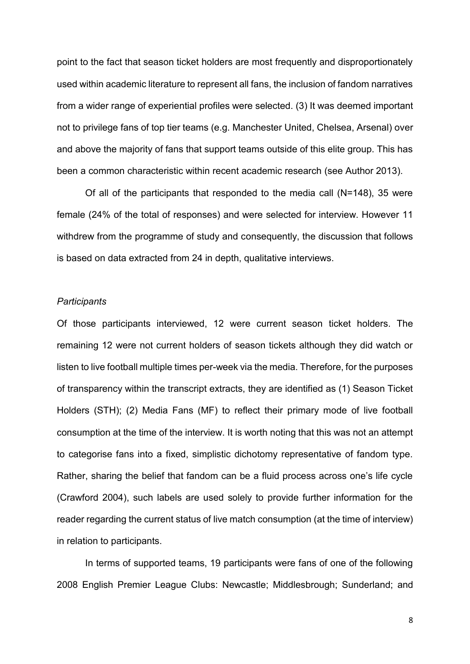point to the fact that season ticket holders are most frequently and disproportionately used within academic literature to represent all fans, the inclusion of fandom narratives from a wider range of experiential profiles were selected. (3) It was deemed important not to privilege fans of top tier teams (e.g. Manchester United, Chelsea, Arsenal) over and above the majority of fans that support teams outside of this elite group. This has been a common characteristic within recent academic research (see Author 2013).

Of all of the participants that responded to the media call (N=148), 35 were female (24% of the total of responses) and were selected for interview. However 11 withdrew from the programme of study and consequently, the discussion that follows is based on data extracted from 24 in depth, qualitative interviews.

#### *Participants*

Of those participants interviewed, 12 were current season ticket holders. The remaining 12 were not current holders of season tickets although they did watch or listen to live football multiple times per-week via the media. Therefore, for the purposes of transparency within the transcript extracts, they are identified as (1) Season Ticket Holders (STH); (2) Media Fans (MF) to reflect their primary mode of live football consumption at the time of the interview. It is worth noting that this was not an attempt to categorise fans into a fixed, simplistic dichotomy representative of fandom type. Rather, sharing the belief that fandom can be a fluid process across one's life cycle (Crawford 2004), such labels are used solely to provide further information for the reader regarding the current status of live match consumption (at the time of interview) in relation to participants.

In terms of supported teams, 19 participants were fans of one of the following 2008 English Premier League Clubs: Newcastle; Middlesbrough; Sunderland; and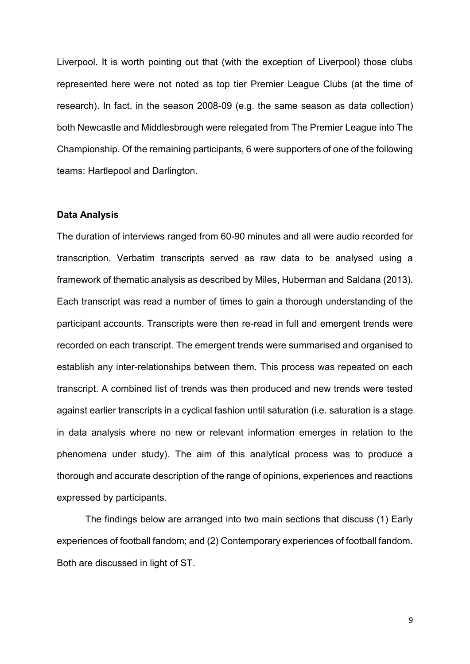Liverpool. It is worth pointing out that (with the exception of Liverpool) those clubs represented here were not noted as top tier Premier League Clubs (at the time of research). In fact, in the season 2008-09 (e.g. the same season as data collection) both Newcastle and Middlesbrough were relegated from The Premier League into The Championship. Of the remaining participants, 6 were supporters of one of the following teams: Hartlepool and Darlington.

#### **Data Analysis**

The duration of interviews ranged from 60-90 minutes and all were audio recorded for transcription. Verbatim transcripts served as raw data to be analysed using a framework of thematic analysis as described by Miles, Huberman and Saldana (2013). Each transcript was read a number of times to gain a thorough understanding of the participant accounts. Transcripts were then re-read in full and emergent trends were recorded on each transcript. The emergent trends were summarised and organised to establish any inter-relationships between them. This process was repeated on each transcript. A combined list of trends was then produced and new trends were tested against earlier transcripts in a cyclical fashion until saturation (i.e. saturation is a stage in data analysis where no new or relevant information emerges in relation to the phenomena under study). The aim of this analytical process was to produce a thorough and accurate description of the range of opinions, experiences and reactions expressed by participants.

The findings below are arranged into two main sections that discuss (1) Early experiences of football fandom; and (2) Contemporary experiences of football fandom. Both are discussed in light of ST.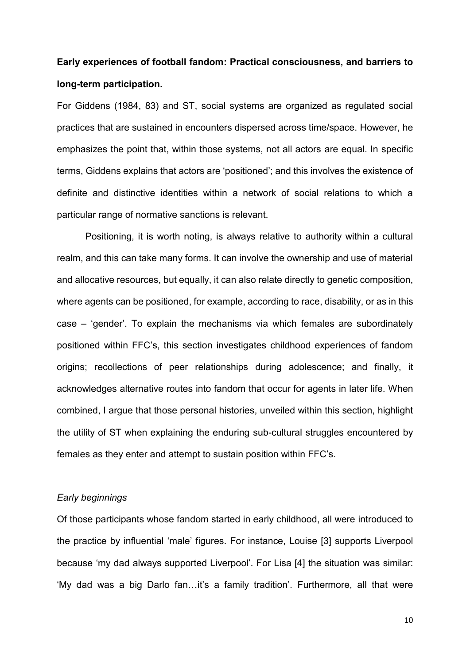## **Early experiences of football fandom: Practical consciousness, and barriers to long-term participation.**

For Giddens (1984, 83) and ST, social systems are organized as regulated social practices that are sustained in encounters dispersed across time/space. However, he emphasizes the point that, within those systems, not all actors are equal. In specific terms, Giddens explains that actors are 'positioned'; and this involves the existence of definite and distinctive identities within a network of social relations to which a particular range of normative sanctions is relevant.

Positioning, it is worth noting, is always relative to authority within a cultural realm, and this can take many forms. It can involve the ownership and use of material and allocative resources, but equally, it can also relate directly to genetic composition, where agents can be positioned, for example, according to race, disability, or as in this case – 'gender'. To explain the mechanisms via which females are subordinately positioned within FFC's, this section investigates childhood experiences of fandom origins; recollections of peer relationships during adolescence; and finally, it acknowledges alternative routes into fandom that occur for agents in later life. When combined, I argue that those personal histories, unveiled within this section, highlight the utility of ST when explaining the enduring sub-cultural struggles encountered by females as they enter and attempt to sustain position within FFC's.

#### *Early beginnings*

Of those participants whose fandom started in early childhood, all were introduced to the practice by influential 'male' figures. For instance, Louise [3] supports Liverpool because 'my dad always supported Liverpool'. For Lisa [4] the situation was similar: 'My dad was a big Darlo fan…it's a family tradition'. Furthermore, all that were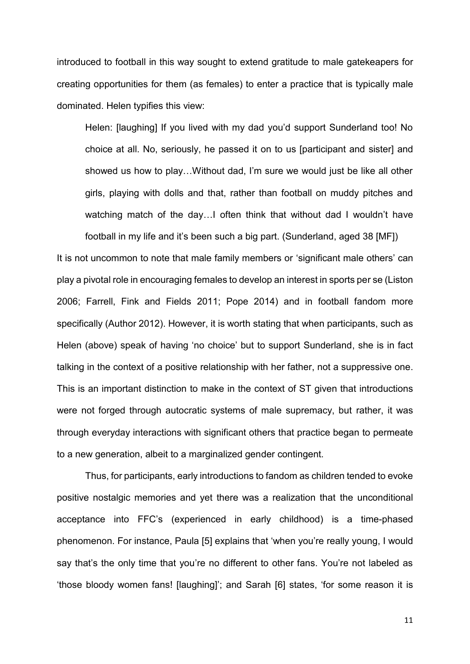introduced to football in this way sought to extend gratitude to male gatekeapers for creating opportunities for them (as females) to enter a practice that is typically male dominated. Helen typifies this view:

Helen: [laughing] If you lived with my dad you'd support Sunderland too! No choice at all. No, seriously, he passed it on to us [participant and sister] and showed us how to play…Without dad, I'm sure we would just be like all other girls, playing with dolls and that, rather than football on muddy pitches and watching match of the day…I often think that without dad I wouldn't have football in my life and it's been such a big part. (Sunderland, aged 38 [MF])

It is not uncommon to note that male family members or 'significant male others' can play a pivotal role in encouraging females to develop an interest in sports per se (Liston 2006; Farrell, Fink and Fields 2011; Pope 2014) and in football fandom more specifically (Author 2012). However, it is worth stating that when participants, such as Helen (above) speak of having 'no choice' but to support Sunderland, she is in fact talking in the context of a positive relationship with her father, not a suppressive one. This is an important distinction to make in the context of ST given that introductions were not forged through autocratic systems of male supremacy, but rather, it was through everyday interactions with significant others that practice began to permeate to a new generation, albeit to a marginalized gender contingent.

 Thus, for participants, early introductions to fandom as children tended to evoke positive nostalgic memories and yet there was a realization that the unconditional acceptance into FFC's (experienced in early childhood) is a time-phased phenomenon. For instance, Paula [5] explains that 'when you're really young, I would say that's the only time that you're no different to other fans. You're not labeled as 'those bloody women fans! [laughing]'; and Sarah [6] states, 'for some reason it is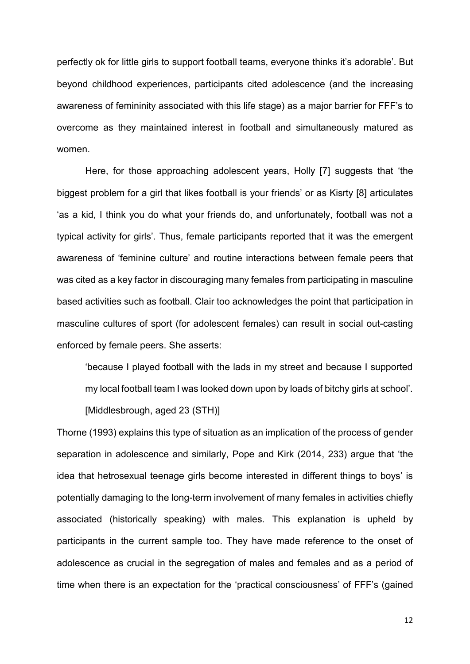perfectly ok for little girls to support football teams, everyone thinks it's adorable'. But beyond childhood experiences, participants cited adolescence (and the increasing awareness of femininity associated with this life stage) as a major barrier for FFF's to overcome as they maintained interest in football and simultaneously matured as women.

Here, for those approaching adolescent years, Holly [7] suggests that 'the biggest problem for a girl that likes football is your friends' or as Kisrty [8] articulates 'as a kid, I think you do what your friends do, and unfortunately, football was not a typical activity for girls'. Thus, female participants reported that it was the emergent awareness of 'feminine culture' and routine interactions between female peers that was cited as a key factor in discouraging many females from participating in masculine based activities such as football. Clair too acknowledges the point that participation in masculine cultures of sport (for adolescent females) can result in social out-casting enforced by female peers. She asserts:

'because I played football with the lads in my street and because I supported my local football team I was looked down upon by loads of bitchy girls at school'.

[Middlesbrough, aged 23 (STH)]

Thorne (1993) explains this type of situation as an implication of the process of gender separation in adolescence and similarly, Pope and Kirk (2014, 233) argue that 'the idea that hetrosexual teenage girls become interested in different things to boys' is potentially damaging to the long-term involvement of many females in activities chiefly associated (historically speaking) with males. This explanation is upheld by participants in the current sample too. They have made reference to the onset of adolescence as crucial in the segregation of males and females and as a period of time when there is an expectation for the 'practical consciousness' of FFF's (gained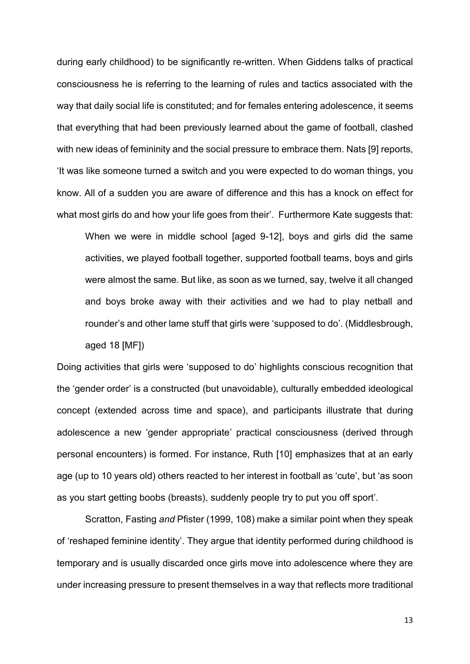during early childhood) to be significantly re-written. When Giddens talks of practical consciousness he is referring to the learning of rules and tactics associated with the way that daily social life is constituted; and for females entering adolescence, it seems that everything that had been previously learned about the game of football, clashed with new ideas of femininity and the social pressure to embrace them. Nats [9] reports, 'It was like someone turned a switch and you were expected to do woman things, you know. All of a sudden you are aware of difference and this has a knock on effect for what most girls do and how your life goes from their'. Furthermore Kate suggests that:

When we were in middle school [aged 9-12], boys and girls did the same activities, we played football together, supported football teams, boys and girls were almost the same. But like, as soon as we turned, say, twelve it all changed and boys broke away with their activities and we had to play netball and rounder's and other lame stuff that girls were 'supposed to do'. (Middlesbrough, aged 18 [MF])

Doing activities that girls were 'supposed to do' highlights conscious recognition that the 'gender order' is a constructed (but unavoidable), culturally embedded ideological concept (extended across time and space), and participants illustrate that during adolescence a new 'gender appropriate' practical consciousness (derived through personal encounters) is formed. For instance, Ruth [10] emphasizes that at an early age (up to 10 years old) others reacted to her interest in football as 'cute', but 'as soon as you start getting boobs (breasts), suddenly people try to put you off sport'.

Scratton, Fasting *and* Pfister (1999, 108) make a similar point when they speak of 'reshaped feminine identity'. They argue that identity performed during childhood is temporary and is usually discarded once girls move into adolescence where they are under increasing pressure to present themselves in a way that reflects more traditional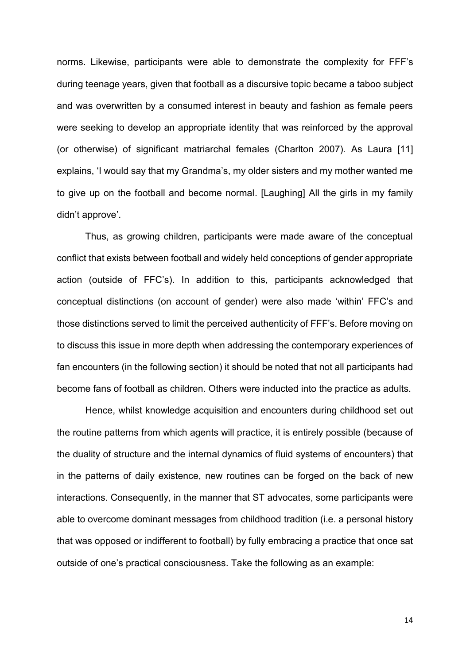norms. Likewise, participants were able to demonstrate the complexity for FFF's during teenage years, given that football as a discursive topic became a taboo subject and was overwritten by a consumed interest in beauty and fashion as female peers were seeking to develop an appropriate identity that was reinforced by the approval (or otherwise) of significant matriarchal females (Charlton 2007). As Laura [11] explains, 'I would say that my Grandma's, my older sisters and my mother wanted me to give up on the football and become normal. [Laughing] All the girls in my family didn't approve'.

Thus, as growing children, participants were made aware of the conceptual conflict that exists between football and widely held conceptions of gender appropriate action (outside of FFC's). In addition to this, participants acknowledged that conceptual distinctions (on account of gender) were also made 'within' FFC's and those distinctions served to limit the perceived authenticity of FFF's. Before moving on to discuss this issue in more depth when addressing the contemporary experiences of fan encounters (in the following section) it should be noted that not all participants had become fans of football as children. Others were inducted into the practice as adults.

Hence, whilst knowledge acquisition and encounters during childhood set out the routine patterns from which agents will practice, it is entirely possible (because of the duality of structure and the internal dynamics of fluid systems of encounters) that in the patterns of daily existence, new routines can be forged on the back of new interactions. Consequently, in the manner that ST advocates, some participants were able to overcome dominant messages from childhood tradition (i.e. a personal history that was opposed or indifferent to football) by fully embracing a practice that once sat outside of one's practical consciousness. Take the following as an example: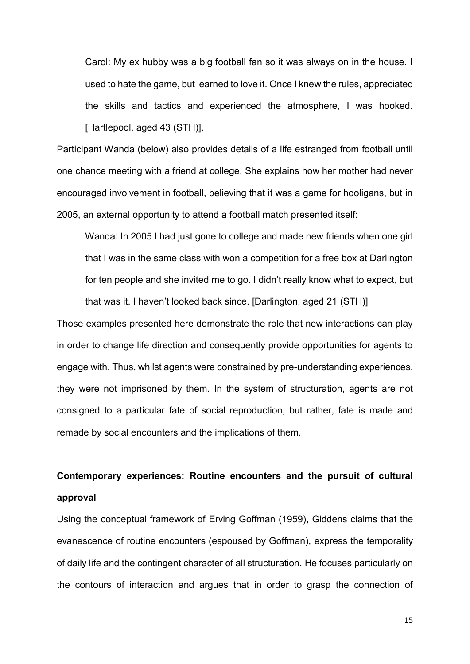Carol: My ex hubby was a big football fan so it was always on in the house. I used to hate the game, but learned to love it. Once I knew the rules, appreciated the skills and tactics and experienced the atmosphere, I was hooked. [Hartlepool, aged 43 (STH)].

Participant Wanda (below) also provides details of a life estranged from football until one chance meeting with a friend at college. She explains how her mother had never encouraged involvement in football, believing that it was a game for hooligans, but in 2005, an external opportunity to attend a football match presented itself:

Wanda: In 2005 I had just gone to college and made new friends when one girl that I was in the same class with won a competition for a free box at Darlington for ten people and she invited me to go. I didn't really know what to expect, but that was it. I haven't looked back since. [Darlington, aged 21 (STH)]

Those examples presented here demonstrate the role that new interactions can play in order to change life direction and consequently provide opportunities for agents to engage with. Thus, whilst agents were constrained by pre-understanding experiences, they were not imprisoned by them. In the system of structuration, agents are not consigned to a particular fate of social reproduction, but rather, fate is made and remade by social encounters and the implications of them.

## **Contemporary experiences: Routine encounters and the pursuit of cultural approval**

Using the conceptual framework of Erving Goffman (1959), Giddens claims that the evanescence of routine encounters (espoused by Goffman), express the temporality of daily life and the contingent character of all structuration. He focuses particularly on the contours of interaction and argues that in order to grasp the connection of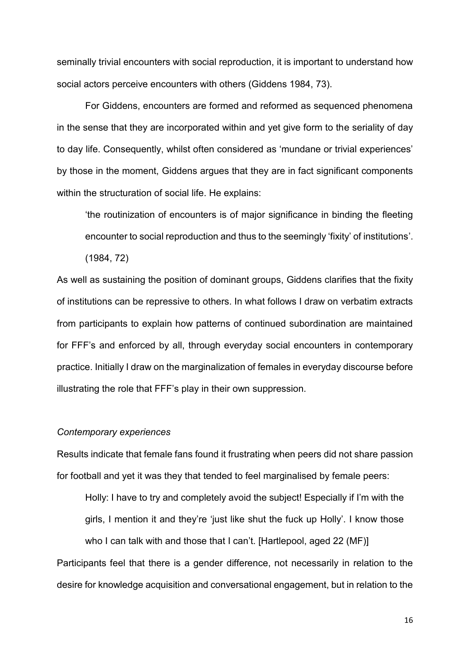seminally trivial encounters with social reproduction, it is important to understand how social actors perceive encounters with others (Giddens 1984, 73).

 For Giddens, encounters are formed and reformed as sequenced phenomena in the sense that they are incorporated within and yet give form to the seriality of day to day life. Consequently, whilst often considered as 'mundane or trivial experiences' by those in the moment, Giddens argues that they are in fact significant components within the structuration of social life. He explains:

'the routinization of encounters is of major significance in binding the fleeting encounter to social reproduction and thus to the seemingly 'fixity' of institutions'. (1984, 72)

As well as sustaining the position of dominant groups, Giddens clarifies that the fixity of institutions can be repressive to others. In what follows I draw on verbatim extracts from participants to explain how patterns of continued subordination are maintained for FFF's and enforced by all, through everyday social encounters in contemporary practice. Initially I draw on the marginalization of females in everyday discourse before illustrating the role that FFF's play in their own suppression.

#### *Contemporary experiences*

Results indicate that female fans found it frustrating when peers did not share passion for football and yet it was they that tended to feel marginalised by female peers:

Holly: I have to try and completely avoid the subject! Especially if I'm with the girls, I mention it and they're 'just like shut the fuck up Holly'. I know those who I can talk with and those that I can't. [Hartlepool, aged 22 (MF)] Participants feel that there is a gender difference, not necessarily in relation to the desire for knowledge acquisition and conversational engagement, but in relation to the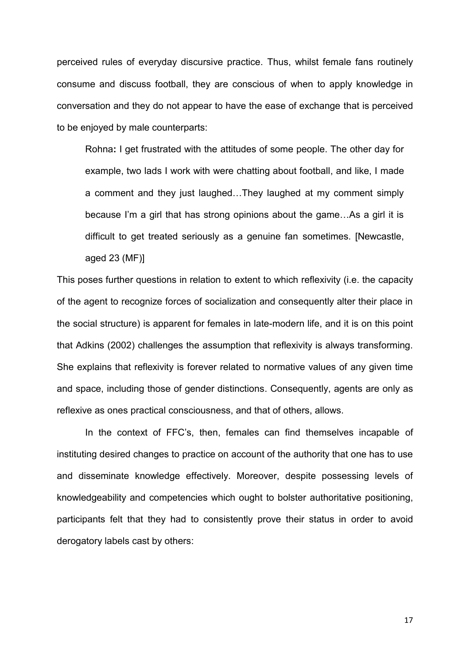perceived rules of everyday discursive practice. Thus, whilst female fans routinely consume and discuss football, they are conscious of when to apply knowledge in conversation and they do not appear to have the ease of exchange that is perceived to be enjoyed by male counterparts:

Rohna**:** I get frustrated with the attitudes of some people. The other day for example, two lads I work with were chatting about football, and like, I made a comment and they just laughed…They laughed at my comment simply because I'm a girl that has strong opinions about the game…As a girl it is difficult to get treated seriously as a genuine fan sometimes. [Newcastle, aged 23 (MF)]

This poses further questions in relation to extent to which reflexivity (i.e. the capacity of the agent to recognize forces of socialization and consequently alter their place in the social structure) is apparent for females in late-modern life, and it is on this point that Adkins (2002) challenges the assumption that reflexivity is always transforming. She explains that reflexivity is forever related to normative values of any given time and space, including those of gender distinctions. Consequently, agents are only as reflexive as ones practical consciousness, and that of others, allows.

In the context of FFC's, then, females can find themselves incapable of instituting desired changes to practice on account of the authority that one has to use and disseminate knowledge effectively. Moreover, despite possessing levels of knowledgeability and competencies which ought to bolster authoritative positioning, participants felt that they had to consistently prove their status in order to avoid derogatory labels cast by others: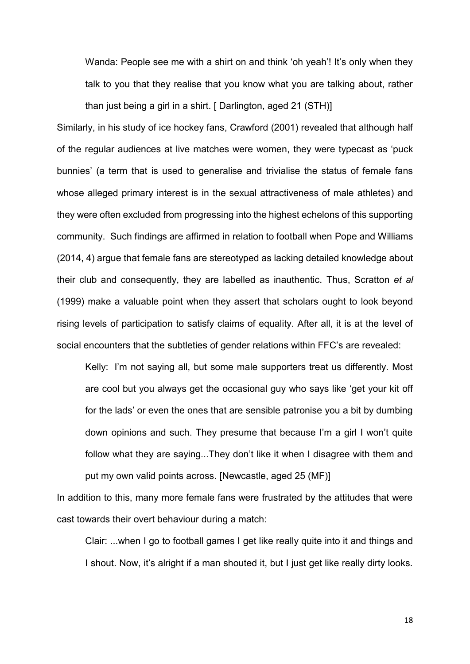Wanda: People see me with a shirt on and think 'oh yeah'! It's only when they talk to you that they realise that you know what you are talking about, rather than just being a girl in a shirt. [ Darlington, aged 21 (STH)]

Similarly, in his study of ice hockey fans, Crawford (2001) revealed that although half of the regular audiences at live matches were women, they were typecast as 'puck bunnies' (a term that is used to generalise and trivialise the status of female fans whose alleged primary interest is in the sexual attractiveness of male athletes) and they were often excluded from progressing into the highest echelons of this supporting community. Such findings are affirmed in relation to football when Pope and Williams (2014, 4) argue that female fans are stereotyped as lacking detailed knowledge about their club and consequently, they are labelled as inauthentic. Thus, Scratton *et al* (1999) make a valuable point when they assert that scholars ought to look beyond rising levels of participation to satisfy claims of equality. After all, it is at the level of social encounters that the subtleties of gender relations within FFC's are revealed:

Kelly: I'm not saying all, but some male supporters treat us differently. Most are cool but you always get the occasional guy who says like 'get your kit off for the lads' or even the ones that are sensible patronise you a bit by dumbing down opinions and such. They presume that because I'm a girl I won't quite follow what they are saying...They don't like it when I disagree with them and put my own valid points across. [Newcastle, aged 25 (MF)]

In addition to this, many more female fans were frustrated by the attitudes that were cast towards their overt behaviour during a match:

Clair: ...when I go to football games I get like really quite into it and things and I shout. Now, it's alright if a man shouted it, but I just get like really dirty looks.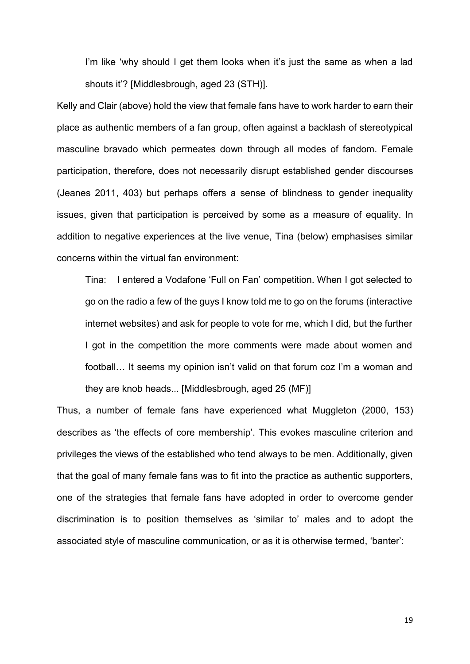I'm like 'why should I get them looks when it's just the same as when a lad shouts it'? [Middlesbrough, aged 23 (STH)].

Kelly and Clair (above) hold the view that female fans have to work harder to earn their place as authentic members of a fan group, often against a backlash of stereotypical masculine bravado which permeates down through all modes of fandom. Female participation, therefore, does not necessarily disrupt established gender discourses (Jeanes 2011, 403) but perhaps offers a sense of blindness to gender inequality issues, given that participation is perceived by some as a measure of equality. In addition to negative experiences at the live venue, Tina (below) emphasises similar concerns within the virtual fan environment:

Tina: I entered a Vodafone 'Full on Fan' competition. When I got selected to go on the radio a few of the guys I know told me to go on the forums (interactive internet websites) and ask for people to vote for me, which I did, but the further I got in the competition the more comments were made about women and football… It seems my opinion isn't valid on that forum coz I'm a woman and they are knob heads... [Middlesbrough, aged 25 (MF)]

Thus, a number of female fans have experienced what Muggleton (2000, 153) describes as 'the effects of core membership'. This evokes masculine criterion and privileges the views of the established who tend always to be men. Additionally, given that the goal of many female fans was to fit into the practice as authentic supporters, one of the strategies that female fans have adopted in order to overcome gender discrimination is to position themselves as 'similar to' males and to adopt the associated style of masculine communication, or as it is otherwise termed, 'banter':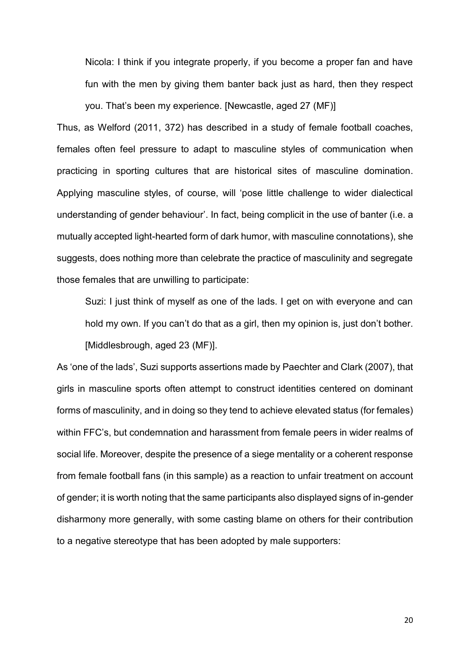Nicola: I think if you integrate properly, if you become a proper fan and have fun with the men by giving them banter back just as hard, then they respect you. That's been my experience. [Newcastle, aged 27 (MF)]

Thus, as Welford (2011, 372) has described in a study of female football coaches, females often feel pressure to adapt to masculine styles of communication when practicing in sporting cultures that are historical sites of masculine domination. Applying masculine styles, of course, will 'pose little challenge to wider dialectical understanding of gender behaviour'. In fact, being complicit in the use of banter (i.e. a mutually accepted light-hearted form of dark humor, with masculine connotations), she suggests, does nothing more than celebrate the practice of masculinity and segregate those females that are unwilling to participate:

Suzi: I just think of myself as one of the lads. I get on with everyone and can hold my own. If you can't do that as a girl, then my opinion is, just don't bother. [Middlesbrough, aged 23 (MF)].

As 'one of the lads', Suzi supports assertions made by Paechter and Clark (2007), that girls in masculine sports often attempt to construct identities centered on dominant forms of masculinity, and in doing so they tend to achieve elevated status (for females) within FFC's, but condemnation and harassment from female peers in wider realms of social life. Moreover, despite the presence of a siege mentality or a coherent response from female football fans (in this sample) as a reaction to unfair treatment on account of gender; it is worth noting that the same participants also displayed signs of in-gender disharmony more generally, with some casting blame on others for their contribution to a negative stereotype that has been adopted by male supporters: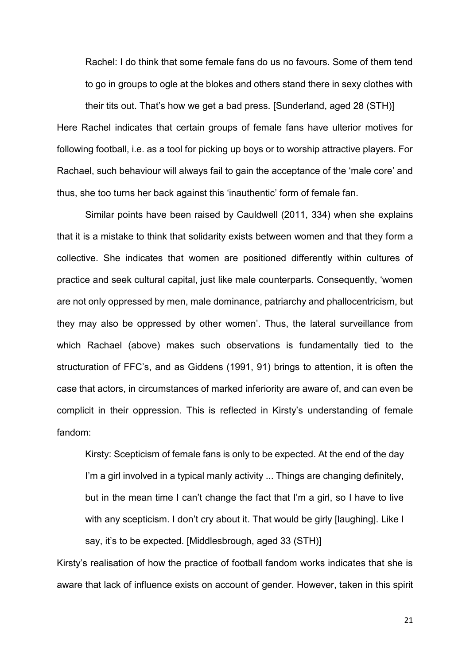Rachel: I do think that some female fans do us no favours. Some of them tend to go in groups to ogle at the blokes and others stand there in sexy clothes with their tits out. That's how we get a bad press. [Sunderland, aged 28 (STH)]

Here Rachel indicates that certain groups of female fans have ulterior motives for following football, i.e. as a tool for picking up boys or to worship attractive players. For Rachael, such behaviour will always fail to gain the acceptance of the 'male core' and thus, she too turns her back against this 'inauthentic' form of female fan.

Similar points have been raised by Cauldwell (2011, 334) when she explains that it is a mistake to think that solidarity exists between women and that they form a collective. She indicates that women are positioned differently within cultures of practice and seek cultural capital, just like male counterparts. Consequently, 'women are not only oppressed by men, male dominance, patriarchy and phallocentricism, but they may also be oppressed by other women'. Thus, the lateral surveillance from which Rachael (above) makes such observations is fundamentally tied to the structuration of FFC's, and as Giddens (1991, 91) brings to attention, it is often the case that actors, in circumstances of marked inferiority are aware of, and can even be complicit in their oppression. This is reflected in Kirsty's understanding of female fandom:

Kirsty: Scepticism of female fans is only to be expected. At the end of the day I'm a girl involved in a typical manly activity ... Things are changing definitely, but in the mean time I can't change the fact that I'm a girl, so I have to live with any scepticism. I don't cry about it. That would be girly [laughing]. Like I say, it's to be expected. [Middlesbrough, aged 33 (STH)]

Kirsty's realisation of how the practice of football fandom works indicates that she is aware that lack of influence exists on account of gender. However, taken in this spirit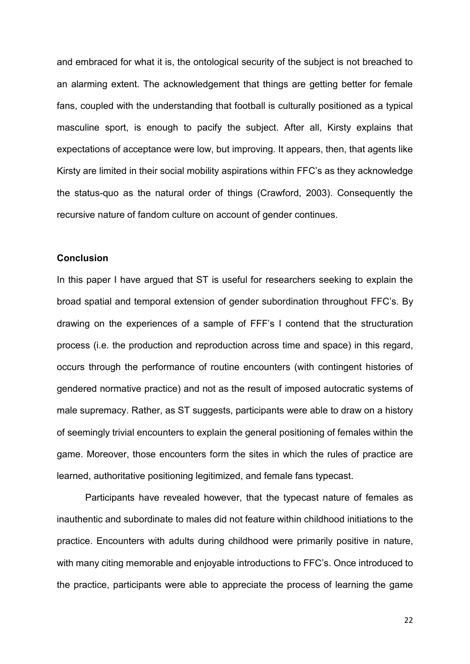and embraced for what it is, the ontological security of the subject is not breached to an alarming extent. The acknowledgement that things are getting better for female fans, coupled with the understanding that football is culturally positioned as a typical masculine sport, is enough to pacify the subject. After all, Kirsty explains that expectations of acceptance were low, but improving. It appears, then, that agents like Kirsty are limited in their social mobility aspirations within FFC's as they acknowledge the status-quo as the natural order of things (Crawford, 2003). Consequently the recursive nature of fandom culture on account of gender continues.

### **Conclusion**

In this paper I have argued that ST is useful for researchers seeking to explain the broad spatial and temporal extension of gender subordination throughout FFC's. By drawing on the experiences of a sample of FFF's I contend that the structuration process (i.e. the production and reproduction across time and space) in this regard, occurs through the performance of routine encounters (with contingent histories of gendered normative practice) and not as the result of imposed autocratic systems of male supremacy. Rather, as ST suggests, participants were able to draw on a history of seemingly trivial encounters to explain the general positioning of females within the game. Moreover, those encounters form the sites in which the rules of practice are learned, authoritative positioning legitimized, and female fans typecast.

 Participants have revealed however, that the typecast nature of females as inauthentic and subordinate to males did not feature within childhood initiations to the practice. Encounters with adults during childhood were primarily positive in nature, with many citing memorable and enjoyable introductions to FFC's. Once introduced to the practice, participants were able to appreciate the process of learning the game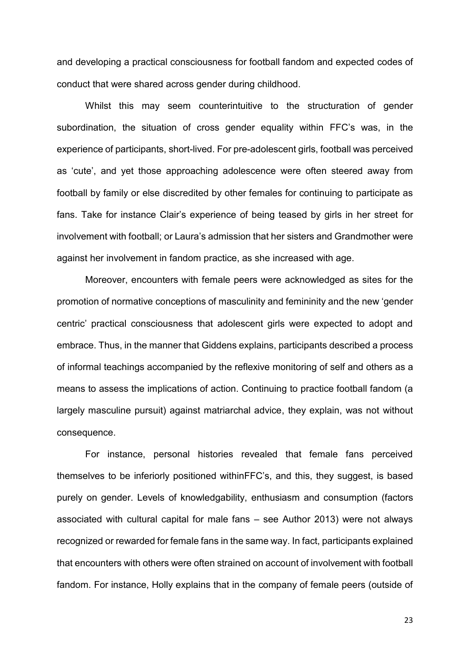and developing a practical consciousness for football fandom and expected codes of conduct that were shared across gender during childhood.

Whilst this may seem counterintuitive to the structuration of gender subordination, the situation of cross gender equality within FFC's was, in the experience of participants, short-lived. For pre-adolescent girls, football was perceived as 'cute', and yet those approaching adolescence were often steered away from football by family or else discredited by other females for continuing to participate as fans. Take for instance Clair's experience of being teased by girls in her street for involvement with football; or Laura's admission that her sisters and Grandmother were against her involvement in fandom practice, as she increased with age.

Moreover, encounters with female peers were acknowledged as sites for the promotion of normative conceptions of masculinity and femininity and the new 'gender centric' practical consciousness that adolescent girls were expected to adopt and embrace. Thus, in the manner that Giddens explains, participants described a process of informal teachings accompanied by the reflexive monitoring of self and others as a means to assess the implications of action. Continuing to practice football fandom (a largely masculine pursuit) against matriarchal advice, they explain, was not without consequence.

For instance, personal histories revealed that female fans perceived themselves to be inferiorly positioned withinFFC's, and this, they suggest, is based purely on gender. Levels of knowledgability, enthusiasm and consumption (factors associated with cultural capital for male fans – see Author 2013) were not always recognized or rewarded for female fans in the same way. In fact, participants explained that encounters with others were often strained on account of involvement with football fandom. For instance, Holly explains that in the company of female peers (outside of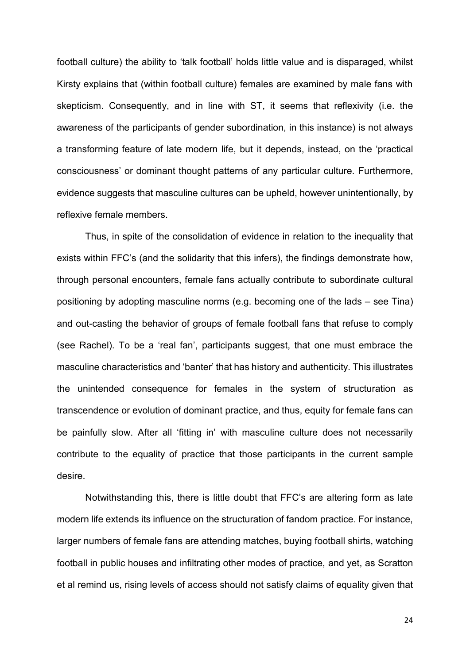football culture) the ability to 'talk football' holds little value and is disparaged, whilst Kirsty explains that (within football culture) females are examined by male fans with skepticism. Consequently, and in line with ST, it seems that reflexivity (i.e. the awareness of the participants of gender subordination, in this instance) is not always a transforming feature of late modern life, but it depends, instead, on the 'practical consciousness' or dominant thought patterns of any particular culture. Furthermore, evidence suggests that masculine cultures can be upheld, however unintentionally, by reflexive female members.

 Thus, in spite of the consolidation of evidence in relation to the inequality that exists within FFC's (and the solidarity that this infers), the findings demonstrate how, through personal encounters, female fans actually contribute to subordinate cultural positioning by adopting masculine norms (e.g. becoming one of the lads – see Tina) and out-casting the behavior of groups of female football fans that refuse to comply (see Rachel). To be a 'real fan', participants suggest, that one must embrace the masculine characteristics and 'banter' that has history and authenticity. This illustrates the unintended consequence for females in the system of structuration as transcendence or evolution of dominant practice, and thus, equity for female fans can be painfully slow. After all 'fitting in' with masculine culture does not necessarily contribute to the equality of practice that those participants in the current sample desire.

Notwithstanding this, there is little doubt that FFC's are altering form as late modern life extends its influence on the structuration of fandom practice. For instance, larger numbers of female fans are attending matches, buying football shirts, watching football in public houses and infiltrating other modes of practice, and yet, as Scratton et al remind us, rising levels of access should not satisfy claims of equality given that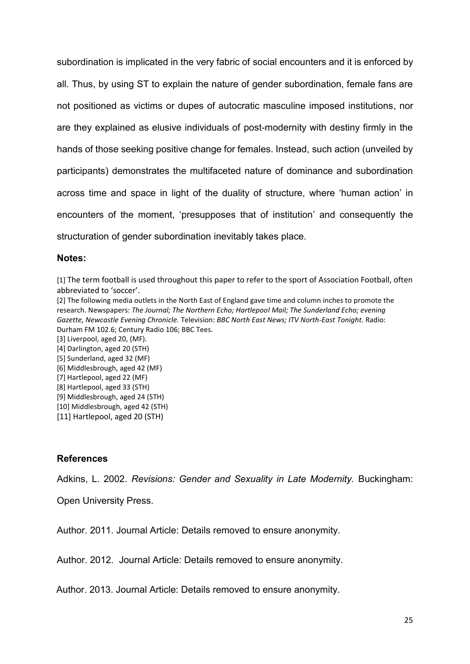subordination is implicated in the very fabric of social encounters and it is enforced by all. Thus, by using ST to explain the nature of gender subordination, female fans are not positioned as victims or dupes of autocratic masculine imposed institutions, nor are they explained as elusive individuals of post-modernity with destiny firmly in the hands of those seeking positive change for females. Instead, such action (unveiled by participants) demonstrates the multifaceted nature of dominance and subordination across time and space in light of the duality of structure, where 'human action' in encounters of the moment, 'presupposes that of institution' and consequently the structuration of gender subordination inevitably takes place.

### **Notes:**

[1] The term football is used throughout this paper to refer to the sport of Association Football, often abbreviated to 'soccer'.

[2] The following media outlets in the North East of England gave time and column inches to promote the research. Newspapers: *The Journal; The Northern Echo; Hartlepool Mail; The Sunderland Echo; evening Gazette, Newcastle Evening Chronicle.* Television: *BBC North East News; ITV North-East Tonight.* Radio: Durham FM 102.6; Century Radio 106; BBC Tees.

[3] Liverpool, aged 20, (MF). [4] Darlington, aged 20 (STH) [5] Sunderland, aged 32 (MF) [6] Middlesbrough, aged 42 (MF) [7] Hartlepool, aged 22 (MF) [8] Hartlepool, aged 33 (STH) [9] Middlesbrough, aged 24 (STH) [10] Middlesbrough, aged 42 (STH)

[11] Hartlepool, aged 20 (STH)

## **References**

Adkins, L. 2002. *Revisions: Gender and Sexuality in Late Modernity.* Buckingham:

Open University Press.

Author. 2011. Journal Article: Details removed to ensure anonymity.

Author. 2012. Journal Article: Details removed to ensure anonymity.

Author. 2013. Journal Article: Details removed to ensure anonymity.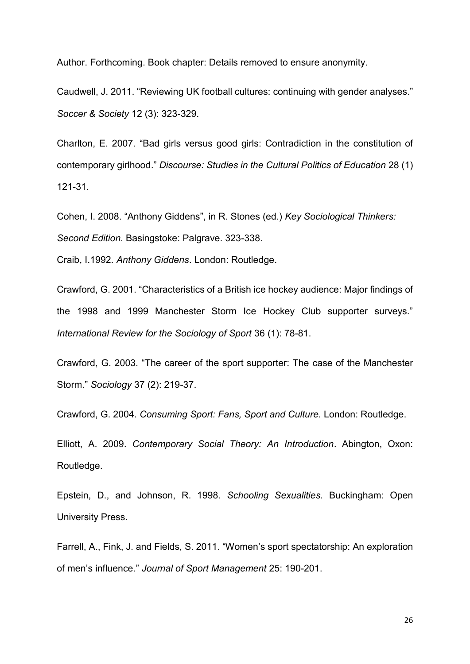Author. Forthcoming. Book chapter: Details removed to ensure anonymity.

Caudwell, J. 2011. "Reviewing UK football cultures: continuing with gender analyses." *Soccer & Society* 12 (3): 323-329.

Charlton, E. 2007. "Bad girls versus good girls: Contradiction in the constitution of contemporary girlhood." *Discourse: Studies in the Cultural Politics of Education* 28 (1) 121-31.

Cohen, I. 2008. "Anthony Giddens", in R. Stones (ed.) *Key Sociological Thinkers: Second Edition.* Basingstoke: Palgrave. 323-338.

Craib, I.1992. *Anthony Giddens*. London: Routledge.

Crawford, G. 2001. "Characteristics of a British ice hockey audience: Major findings of the 1998 and 1999 Manchester Storm Ice Hockey Club supporter surveys." *International Review for the Sociology of Sport* 36 (1): 78-81.

Crawford, G. 2003. "The career of the sport supporter: The case of the Manchester Storm." *Sociology* 37 (2): 219-37.

Crawford, G. 2004. *Consuming Sport: Fans, Sport and Culture.* London: Routledge.

Elliott, A. 2009. *Contemporary Social Theory: An Introduction*. Abington, Oxon: Routledge.

Epstein, D., and Johnson, R. 1998. *Schooling Sexualities.* Buckingham: Open University Press.

Farrell, A., Fink, J. and Fields, S. 2011. "Women's sport spectatorship: An exploration of men's influence." *Journal of Sport Management* 25: 190-201.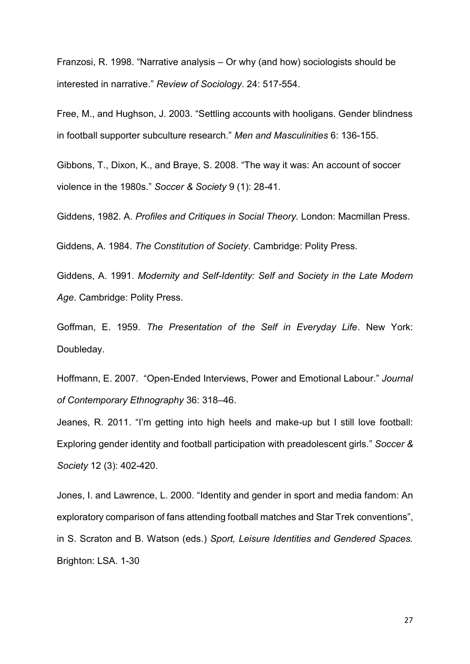Franzosi, R. 1998. "Narrative analysis – Or why (and how) sociologists should be interested in narrative." *Review of Sociology*. 24: 517-554.

Free, M., and Hughson, J. 2003. "Settling accounts with hooligans. Gender blindness in football supporter subculture research." *Men and Masculinities* 6: 136-155.

Gibbons, T., Dixon, K., and Braye, S. 2008. "The way it was: An account of soccer violence in the 1980s." *Soccer & Society* 9 (1): 28-41.

Giddens, 1982. A. *Profiles and Critiques in Social Theory.* London: Macmillan Press.

Giddens, A. 1984. *The Constitution of Society*. Cambridge: Polity Press.

Giddens, A. 1991. *Modernity and Self-Identity: Self and Society in the Late Modern Age*. Cambridge: Polity Press.

Goffman, E. 1959. *The Presentation of the Self in Everyday Life*. New York: Doubleday.

Hoffmann, E. 2007. "Open-Ended Interviews, Power and Emotional Labour." *Journal of Contemporary Ethnography* 36: 318–46.

Jeanes, R. 2011. "I'm getting into high heels and make-up but I still love football: Exploring gender identity and football participation with preadolescent girls." *Soccer & Society* 12 (3): 402-420.

Jones, I. and Lawrence, L. 2000. "Identity and gender in sport and media fandom: An exploratory comparison of fans attending football matches and Star Trek conventions", in S. Scraton and B. Watson (eds.) *Sport, Leisure Identities and Gendered Spaces.*  Brighton: LSA. 1-30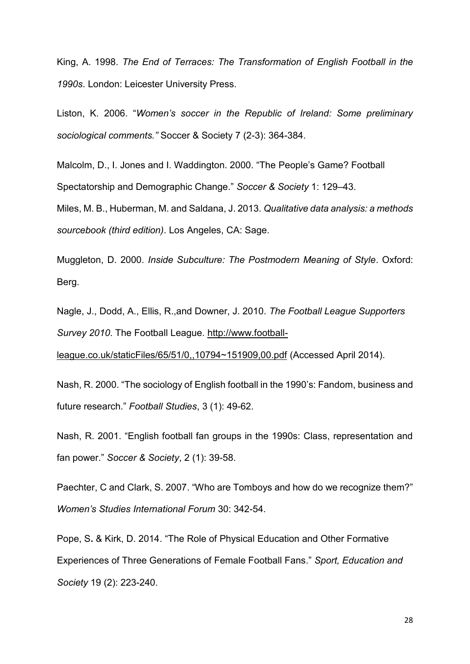King, A. 1998. *The End of Terraces: The Transformation of English Football in the 1990s*. London: Leicester University Press.

Liston, K. 2006. "*Women's soccer in the Republic of Ireland: Some preliminary sociological comments."* Soccer & Society 7 (2-3): 364-384.

Malcolm, D., I. Jones and I. Waddington. 2000. "The People's Game? Football Spectatorship and Demographic Change." *Soccer & Society* 1: 129–43.

Miles, M. B., Huberman, M. and Saldana, J. 2013. *Qualitative data analysis: a methods sourcebook (third edition)*. Los Angeles, CA: Sage.

Muggleton, D. 2000. *Inside Subculture: The Postmodern Meaning of Style*. Oxford: Berg.

Nagle, J., Dodd, A., Ellis, R.,and Downer, J. 2010. *The Football League Supporters Survey 2010*. The Football League. [http://www.football-](http://www.football-league.co.uk/staticFiles/65/51/0,,10794~151909,00.pdf)

[league.co.uk/staticFiles/65/51/0,,10794~151909,00.pdf](http://www.football-league.co.uk/staticFiles/65/51/0,,10794~151909,00.pdf) (Accessed April 2014).

Nash, R. 2000. "The sociology of English football in the 1990's: Fandom, business and future research." *Football Studies*, 3 (1): 49-62.

Nash, R. 2001. "English football fan groups in the 1990s: Class, representation and fan power." *Soccer & Society*, 2 (1): 39-58.

Paechter, C and Clark, S. 2007. "Who are Tomboys and how do we recognize them?" *Women's Studies International Forum* 30: 342-54.

Pope, S**.** & Kirk, D. 2014. ["The Role of Physical Education and Other Formative](https://www.dur.ac.uk/sass/staff/profile/?mode=pdetail&id=11715&sid=11715&pdetail=85107)  [Experiences of Three Generations of Female Football Fans.](https://www.dur.ac.uk/sass/staff/profile/?mode=pdetail&id=11715&sid=11715&pdetail=85107)" *Sport, Education and Society* 19 (2): 223-240.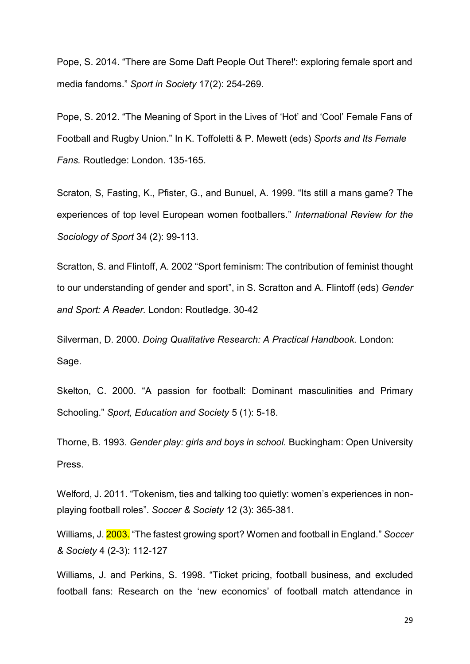Pope, S. 2014. ["There are Some Daft People Out There!': exploring female sport and](https://www.dur.ac.uk/sass/staff/profile/?mode=pdetail&id=11715&sid=11715&pdetail=89691)  [media fandoms.](https://www.dur.ac.uk/sass/staff/profile/?mode=pdetail&id=11715&sid=11715&pdetail=89691)" *Sport in Society* 17(2): 254-269.

Pope, S. 2012. "The Meaning of Sport in the Lives of 'Hot' and 'Cool' Female Fans of Football and Rugby Union." In K. Toffoletti & P. Mewett (eds) *Sports and Its Female Fans.* Routledge: London. 135-165.

Scraton, S, Fasting, K., Pfister, G., and Bunuel, A. 1999. "Its still a mans game? The experiences of top level European women footballers." *International Review for the Sociology of Sport* 34 (2): 99-113.

Scratton, S. and Flintoff, A. 2002 "Sport feminism: The contribution of feminist thought to our understanding of gender and sport", in S. Scratton and A. Flintoff (eds) *Gender and Sport: A Reader.* London: Routledge. 30-42

Silverman, D. 2000. *Doing Qualitative Research: A Practical Handbook.* London: Sage.

Skelton, C. 2000. "A passion for football: Dominant masculinities and Primary Schooling." *Sport, Education and Society* 5 (1): 5-18.

Thorne, B. 1993. *Gender play: girls and boys in school.* Buckingham: Open University Press.

Welford, J. 2011. "Tokenism, ties and talking too quietly: women's experiences in nonplaying football roles". *Soccer & Society* 12 (3): 365-381.

Williams, J. 2003. "The fastest growing sport? Women and football in England." *Soccer & Society* 4 (2-3): 112-127

Williams, J. and Perkins, S. 1998. "Ticket pricing, football business, and excluded football fans: Research on the 'new economics' of football match attendance in